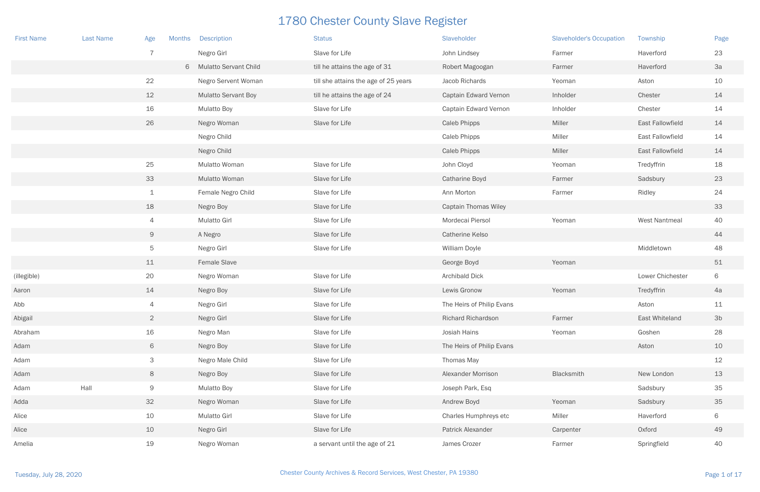| <b>First Name</b> | <b>Last Name</b> | Age             | <b>Description</b><br><b>Months</b> | <b>Status</b>                        | Slaveholder                 | <b>Slaveholder's Occupation</b> | Township                | Page           |
|-------------------|------------------|-----------------|-------------------------------------|--------------------------------------|-----------------------------|---------------------------------|-------------------------|----------------|
|                   |                  | $\overline{7}$  | Negro Girl                          | Slave for Life                       | John Lindsey                | Farmer                          | Haverford               | 23             |
|                   |                  |                 | 6 Mulatto Servant Child             | till he attains the age of 31        | Robert Magoogan             | Farmer                          | Haverford               | 3a             |
|                   |                  | 22              | Negro Servent Woman                 | till she attains the age of 25 years | Jacob Richards              | Yeoman                          | Aston                   | 10             |
|                   |                  | 12              | <b>Mulatto Servant Boy</b>          | till he attains the age of 24        | Captain Edward Vernon       | Inholder                        | Chester                 | 14             |
|                   |                  | 16              | <b>Mulatto Boy</b>                  | Slave for Life                       | Captain Edward Vernon       | Inholder                        | Chester                 | 14             |
|                   |                  | 26              | Negro Woman                         | Slave for Life                       | <b>Caleb Phipps</b>         | Miller                          | East Fallowfield        | 14             |
|                   |                  |                 | Negro Child                         |                                      | <b>Caleb Phipps</b>         | Miller                          | <b>East Fallowfield</b> | 14             |
|                   |                  |                 | Negro Child                         |                                      | Caleb Phipps                | Miller                          | <b>East Fallowfield</b> | 14             |
|                   |                  | 25              | Mulatto Woman                       | Slave for Life                       | John Cloyd                  | Yeoman                          | Tredyffrin              | 18             |
|                   |                  | 33              | Mulatto Woman                       | Slave for Life                       | Catharine Boyd              | Farmer                          | Sadsbury                | 23             |
|                   |                  | $\mathbf{1}$    | Female Negro Child                  | Slave for Life                       | Ann Morton                  | Farmer                          | Ridley                  | 24             |
|                   |                  | 18              | Negro Boy                           | Slave for Life                       | <b>Captain Thomas Wiley</b> |                                 |                         | 33             |
|                   |                  | $\overline{4}$  | Mulatto Girl                        | Slave for Life                       | Mordecai Piersol            | Yeoman                          | <b>West Nantmeal</b>    | 40             |
|                   |                  | 9               | A Negro                             | Slave for Life                       | <b>Catherine Kelso</b>      |                                 |                         | 44             |
|                   |                  | $5\phantom{.0}$ | Negro Girl                          | Slave for Life                       | William Doyle               |                                 | Middletown              | 48             |
|                   |                  | 11              | Female Slave                        |                                      | George Boyd                 | Yeoman                          |                         | 51             |
| (illegible)       |                  | 20              | Negro Woman                         | Slave for Life                       | Archibald Dick              |                                 | Lower Chichester        | 6              |
| Aaron             |                  | 14              | Negro Boy                           | Slave for Life                       | Lewis Gronow                | Yeoman                          | Tredyffrin              | 4a             |
| Abb               |                  | $\overline{4}$  | Negro Girl                          | Slave for Life                       | The Heirs of Philip Evans   |                                 | Aston                   | 11             |
| Abigail           |                  | $\overline{2}$  | Negro Girl                          | Slave for Life                       | Richard Richardson          | Farmer                          | East Whiteland          | 3 <sub>b</sub> |
| Abraham           |                  | 16              | Negro Man                           | Slave for Life                       | Josiah Hains                | Yeoman                          | Goshen                  | 28             |
| Adam              |                  | 6               | Negro Boy                           | Slave for Life                       | The Heirs of Philip Evans   |                                 | Aston                   | 10             |
| Adam              |                  | $\mathsf{3}$    | Negro Male Child                    | Slave for Life                       | Thomas May                  |                                 |                         | 12             |
| Adam              |                  | $8\,$           | Negro Boy                           | Slave for Life                       | Alexander Morrison          | Blacksmith                      | New London              | 13             |
| Adam              | Hall             | 9               | <b>Mulatto Boy</b>                  | Slave for Life                       | Joseph Park, Esq            |                                 | Sadsbury                | 35             |
| Adda              |                  | 32              | Negro Woman                         | Slave for Life                       | Andrew Boyd                 | Yeoman                          | Sadsbury                | 35             |
| Alice             |                  | 10              | <b>Mulatto Girl</b>                 | Slave for Life                       | Charles Humphreys etc       | Miller                          | Haverford               | 6              |
| Alice             |                  | 10              | Negro Girl                          | Slave for Life                       | Patrick Alexander           | Carpenter                       | Oxford                  | 49             |
| Amelia            |                  | 19              | Negro Woman                         | a servant until the age of 21        | James Crozer                | Farmer                          | Springfield             | 40             |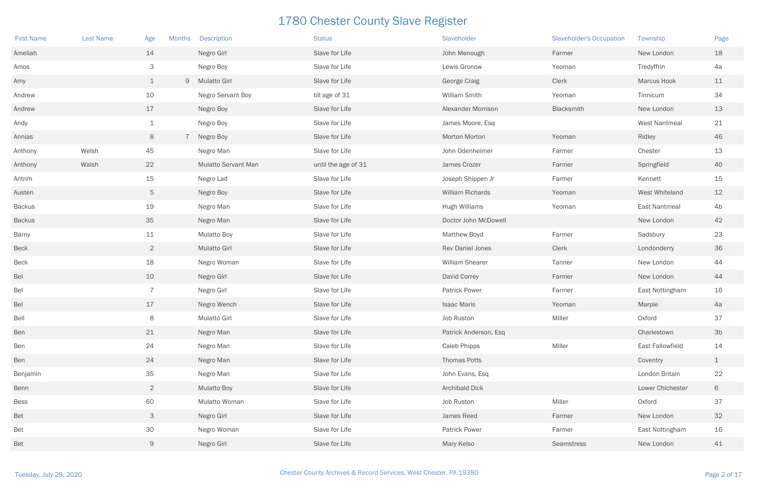| <b>First Name</b> | <b>Last Name</b> | Age            | <b>Months</b> | <b>Description</b>  | <b>Status</b>       | Slaveholder             | <b>Slaveholder's Occupation</b> | Township             | Page           |
|-------------------|------------------|----------------|---------------|---------------------|---------------------|-------------------------|---------------------------------|----------------------|----------------|
| Ameliah           |                  | 14             |               | Negro Girl          | Slave for Life      | John Menough            | Farmer                          | New London           | 18             |
| Amos              |                  | 3              |               | Negro Boy           | Slave for Life      | Lewis Gronow            | Yeoman                          | Tredyffrin           | 4a             |
| Amy               |                  | $\mathbf{1}$   |               | 9 Mulatto Girl      | Slave for Life      | George Craig            | Clerk                           | <b>Marcus Hook</b>   | 11             |
| Andrew            |                  | 10             |               | Negro Servant Boy   | till age of 31      | William Smith           | Yeoman                          | Tinnicum             | 34             |
| Andrew            |                  | 17             |               | Negro Boy           | Slave for Life      | Alexander Morrison      | Blacksmith                      | New London           | 13             |
| Andy              |                  | $\perp$        |               | Negro Boy           | Slave for Life      | James Moore, Esq        |                                 | <b>West Nantmeal</b> | 21             |
| Annias            |                  | 8              |               | Negro Boy           | Slave for Life      | Morton Morton           | Yeoman                          | Ridley               | 46             |
| Anthony           | Welsh            | 45             |               | Negro Man           | Slave for Life      | John Odenheimer         | Farmer                          | Chester              | 13             |
| Anthony           | Walsh            | 22             |               | Mulatto Servant Man | until the age of 31 | James Crozer            | Farmer                          | Springfield          | 40             |
| Antrim            |                  | 15             |               | Negro Lad           | Slave for Life      | Joseph Shippen Jr       | Farmer                          | Kennett              | 15             |
| Austen            |                  | 5              |               | Negro Boy           | Slave for Life      | William Richards        | Yeoman                          | West Whiteland       | 12             |
| <b>Backus</b>     |                  | 19             |               | Negro Man           | Slave for Life      | <b>Hugh Williams</b>    | Yeoman                          | East Nantmeal        | 4 <sub>b</sub> |
| <b>Backus</b>     |                  | 35             |               | Negro Man           | Slave for Life      | Doctor John McDowell    |                                 | New London           | 42             |
| Barny             |                  | 11             |               | <b>Mulatto Boy</b>  | Slave for Life      | <b>Matthew Boyd</b>     | Farmer                          | Sadsbury             | 23             |
| <b>Beck</b>       |                  | $\overline{2}$ |               | <b>Mulatto Girl</b> | Slave for Life      | <b>Rev Daniel Jones</b> | Clerk                           | Londonderry          | 36             |
| <b>Beck</b>       |                  | 18             |               | Negro Woman         | Slave for Life      | William Shearer         | Tanner                          | New London           | 44             |
| Bel               |                  | 10             |               | Negro Girl          | Slave for Life      | David Correy            | Farmer                          | New London           | 44             |
| Bel               |                  | $\overline{7}$ |               | Negro Girl          | Slave for Life      | <b>Patrick Power</b>    | Farmer                          | East Nottingham      | 16             |
| Bel               |                  | 17             |               | Negro Wench         | Slave for Life      | <b>Isaac Maris</b>      | Yeoman                          | Marple               | 4a             |
| Bell              |                  | 8              |               | <b>Mulatto Girl</b> | Slave for Life      | Job Ruston              | Miller                          | Oxford               | 37             |
| Ben               |                  | 21             |               | Negro Man           | Slave for Life      | Patrick Anderson, Esq   |                                 | Charlestown          | 3 <sub>b</sub> |
| Ben               |                  | 24             |               | Negro Man           | Slave for Life      | Caleb Phipps            | Miller                          | East Fallowfield     | 14             |
| Ben               |                  | 24             |               | Negro Man           | Slave for Life      | Thomas Potts            |                                 | Coventry             | $\mathbf{1}$   |
| Benjamin          |                  | 35             |               | Negro Man           | Slave for Life      | John Evans, Esq         |                                 | London Britain       | 22             |
| Benn              |                  | $\overline{2}$ |               | <b>Mulatto Boy</b>  | Slave for Life      | <b>Archibald Dick</b>   |                                 | Lower Chichester     | 6              |
| <b>Bess</b>       |                  | 60             |               | Mulatto Woman       | Slave for Life      | Job Ruston              | Miller                          | Oxford               | 37             |
| Bet               |                  | 3              |               | Negro Girl          | Slave for Life      | James Reed              | Farmer                          | New London           | 32             |
| Bet               |                  | 30             |               | Negro Woman         | Slave for Life      | <b>Patrick Power</b>    | Farmer                          | East Nottingham      | 16             |
| Bet               |                  | 9              |               | Negro Girl          | Slave for Life      | Mary Kelso              | Seamstress                      | New London           | 41             |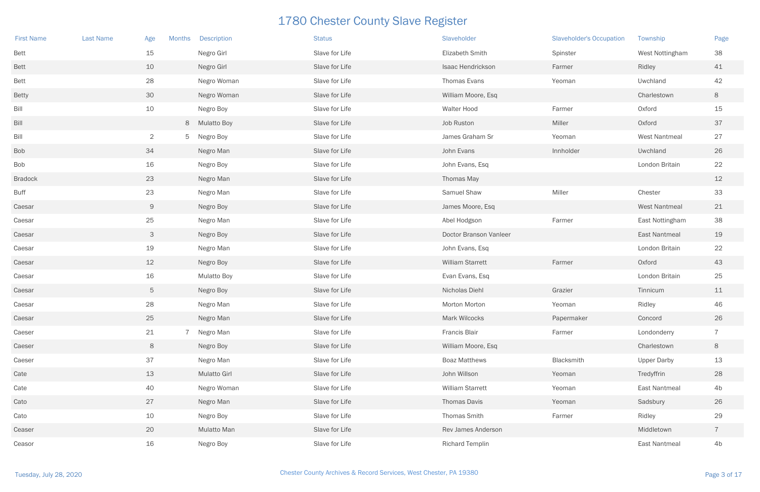| <b>First Name</b> | <b>Last Name</b> | Age<br><b>Months</b> | <b>Description</b>  | <b>Status</b>  | Slaveholder             | <b>Slaveholder's Occupation</b> | Township             | Page           |
|-------------------|------------------|----------------------|---------------------|----------------|-------------------------|---------------------------------|----------------------|----------------|
| <b>Bett</b>       |                  | 15                   | Negro Girl          | Slave for Life | Elizabeth Smith         | Spinster                        | West Nottingham      | 38             |
| <b>Bett</b>       |                  | 10                   | Negro Girl          | Slave for Life | Isaac Hendrickson       | Farmer                          | Ridley               | 41             |
| <b>Bett</b>       |                  | 28                   | Negro Woman         | Slave for Life | Thomas Evans            | Yeoman                          | Uwchland             | 42             |
| <b>Betty</b>      |                  | 30                   | Negro Woman         | Slave for Life | William Moore, Esq      |                                 | Charlestown          | 8              |
| Bill              |                  | 10                   | Negro Boy           | Slave for Life | Walter Hood             | Farmer                          | Oxford               | 15             |
| Bill              |                  |                      | 8 Mulatto Boy       | Slave for Life | Job Ruston              | Miller                          | Oxford               | 37             |
| Bill              |                  | $\overline{2}$       | 5 Negro Boy         | Slave for Life | James Graham Sr         | Yeoman                          | <b>West Nantmeal</b> | 27             |
| <b>Bob</b>        |                  | 34                   | Negro Man           | Slave for Life | John Evans              | Innholder                       | Uwchland             | 26             |
| Bob               |                  | 16                   | Negro Boy           | Slave for Life | John Evans, Esq         |                                 | London Britain       | 22             |
| <b>Bradock</b>    |                  | 23                   | Negro Man           | Slave for Life | Thomas May              |                                 |                      | 12             |
| <b>Buff</b>       |                  | 23                   | Negro Man           | Slave for Life | Samuel Shaw             | Miller                          | Chester              | 33             |
| Caesar            |                  | 9                    | Negro Boy           | Slave for Life | James Moore, Esq        |                                 | <b>West Nantmeal</b> | 21             |
| Caesar            |                  | 25                   | Negro Man           | Slave for Life | Abel Hodgson            | Farmer                          | East Nottingham      | 38             |
| Caesar            |                  | $\mathcal{S}$        | Negro Boy           | Slave for Life | Doctor Branson Vanleer  |                                 | <b>East Nantmeal</b> | 19             |
| Caesar            |                  | 19                   | Negro Man           | Slave for Life | John Evans, Esq         |                                 | London Britain       | 22             |
| Caesar            |                  | 12                   | Negro Boy           | Slave for Life | <b>William Starrett</b> | Farmer                          | Oxford               | 43             |
| Caesar            |                  | 16                   | <b>Mulatto Boy</b>  | Slave for Life | Evan Evans, Esq         |                                 | London Britain       | 25             |
| Caesar            |                  | $5\phantom{.0}$      | Negro Boy           | Slave for Life | Nicholas Diehl          | Grazier                         | Tinnicum             | 11             |
| Caesar            |                  | 28                   | Negro Man           | Slave for Life | Morton Morton           | Yeoman                          | Ridley               | 46             |
| Caesar            |                  | 25                   | Negro Man           | Slave for Life | Mark Wilcocks           | Papermaker                      | Concord              | 26             |
| Caeser            |                  | 21                   | Negro Man           | Slave for Life | Francis Blair           | Farmer                          | Londonderry          | $\overline{7}$ |
| Caeser            |                  | 8                    | Negro Boy           | Slave for Life | William Moore, Esq      |                                 | Charlestown          | 8              |
| Caeser            |                  | 37                   | Negro Man           | Slave for Life | <b>Boaz Matthews</b>    | Blacksmith                      | <b>Upper Darby</b>   | 13             |
| Cate              |                  | 13                   | <b>Mulatto Girl</b> | Slave for Life | John Willson            | Yeoman                          | Tredyffrin           | 28             |
| Cate              |                  | 40                   | Negro Woman         | Slave for Life | <b>William Starrett</b> | Yeoman                          | East Nantmeal        | 4 <sub>b</sub> |
| Cato              |                  | 27                   | Negro Man           | Slave for Life | Thomas Davis            | Yeoman                          | Sadsbury             | 26             |
| Cato              |                  | 10                   | Negro Boy           | Slave for Life | Thomas Smith            | Farmer                          | Ridley               | 29             |
| Ceaser            |                  | 20                   | Mulatto Man         | Slave for Life | Rev James Anderson      |                                 | Middletown           | $\overline{7}$ |
| Ceasor            |                  | 16                   | Negro Boy           | Slave for Life | <b>Richard Templin</b>  |                                 | <b>East Nantmeal</b> | 4 <sub>b</sub> |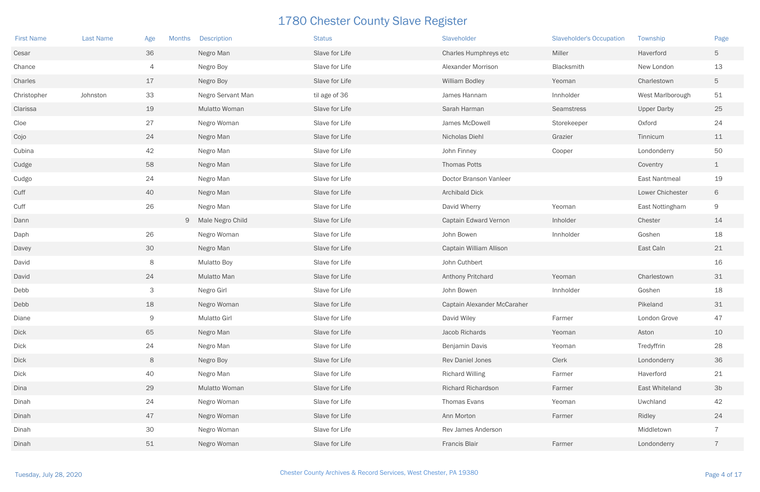| <b>First Name</b> | <b>Last Name</b> | Age            | Months | <b>Description</b>   | <b>Status</b>  | Slaveholder                 | <b>Slaveholder's Occupation</b> | Township             | Page           |
|-------------------|------------------|----------------|--------|----------------------|----------------|-----------------------------|---------------------------------|----------------------|----------------|
| Cesar             |                  | 36             |        | Negro Man            | Slave for Life | Charles Humphreys etc       | Miller                          | Haverford            | 5              |
| Chance            |                  | $\overline{4}$ |        | Negro Boy            | Slave for Life | <b>Alexander Morrison</b>   | Blacksmith                      | New London           | 13             |
| Charles           |                  | 17             |        | Negro Boy            | Slave for Life | William Bodley              | Yeoman                          | Charlestown          | 5              |
| Christopher       | Johnston         | 33             |        | Negro Servant Man    | til age of 36  | James Hannam                | Innholder                       | West Marlborough     | 51             |
| Clarissa          |                  | 19             |        | <b>Mulatto Woman</b> | Slave for Life | Sarah Harman                | Seamstress                      | <b>Upper Darby</b>   | 25             |
| $C$ loe           |                  | 27             |        | Negro Woman          | Slave for Life | James McDowell              | Storekeeper                     | Oxford               | 24             |
| Cojo              |                  | 24             |        | Negro Man            | Slave for Life | Nicholas Diehl              | Grazier                         | Tinnicum             | 11             |
| Cubina            |                  | 42             |        | Negro Man            | Slave for Life | John Finney                 | Cooper                          | Londonderry          | 50             |
| Cudge             |                  | 58             |        | Negro Man            | Slave for Life | <b>Thomas Potts</b>         |                                 | Coventry             | $\perp$        |
| Cudgo             |                  | 24             |        | Negro Man            | Slave for Life | Doctor Branson Vanleer      |                                 | <b>East Nantmeal</b> | 19             |
| Cuff              |                  | 40             |        | Negro Man            | Slave for Life | <b>Archibald Dick</b>       |                                 | Lower Chichester     | 6              |
| Cuff              |                  | 26             |        | Negro Man            | Slave for Life | David Wherry                | Yeoman                          | East Nottingham      | 9              |
| Dann              |                  |                |        | 9 Male Negro Child   | Slave for Life | Captain Edward Vernon       | Inholder                        | Chester              | 14             |
| Daph              |                  | 26             |        | Negro Woman          | Slave for Life | John Bowen                  | Innholder                       | Goshen               | 18             |
| Davey             |                  | 30             |        | Negro Man            | Slave for Life | Captain William Allison     |                                 | East Caln            | 21             |
| David             |                  | 8              |        | <b>Mulatto Boy</b>   | Slave for Life | John Cuthbert               |                                 |                      | 16             |
| David             |                  | 24             |        | Mulatto Man          | Slave for Life | Anthony Pritchard           | Yeoman                          | Charlestown          | 31             |
| Debb              |                  | 3              |        | Negro Girl           | Slave for Life | John Bowen                  | Innholder                       | Goshen               | 18             |
| Debb              |                  | 18             |        | Negro Woman          | Slave for Life | Captain Alexander McCaraher |                                 | Pikeland             | 31             |
| Diane             |                  | 9              |        | <b>Mulatto Girl</b>  | Slave for Life | David Wiley                 | Farmer                          | London Grove         | 47             |
| <b>Dick</b>       |                  | 65             |        | Negro Man            | Slave for Life | Jacob Richards              | Yeoman                          | Aston                | 10             |
| <b>Dick</b>       |                  | 24             |        | Negro Man            | Slave for Life | Benjamin Davis              | Yeoman                          | Tredyffrin           | 28             |
| <b>Dick</b>       |                  | 8              |        | Negro Boy            | Slave for Life | Rev Daniel Jones            | Clerk                           | Londonderry          | 36             |
| Dick              |                  | 40             |        | Negro Man            | Slave for Life | <b>Richard Willing</b>      | Farmer                          | Haverford            | 21             |
| Dina              |                  | 29             |        | <b>Mulatto Woman</b> | Slave for Life | Richard Richardson          | Farmer                          | East Whiteland       | 3 <sub>b</sub> |
| Dinah             |                  | 24             |        | Negro Woman          | Slave for Life | Thomas Evans                | Yeoman                          | Uwchland             | 42             |
| Dinah             |                  | 47             |        | Negro Woman          | Slave for Life | Ann Morton                  | Farmer                          | Ridley               | 24             |
| Dinah             |                  | 30             |        | Negro Woman          | Slave for Life | Rev James Anderson          |                                 | Middletown           | $\overline{7}$ |
| Dinah             |                  | 51             |        | Negro Woman          | Slave for Life | <b>Francis Blair</b>        | Farmer                          | Londonderry          | $\overline{7}$ |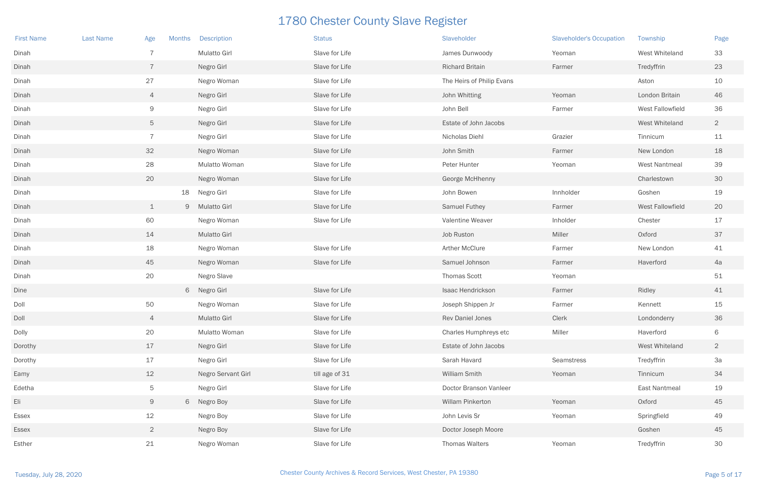| <b>First Name</b> | <b>Last Name</b> | Age             | <b>Months</b> | <b>Description</b>  | <b>Status</b>  | Slaveholder               | <b>Slaveholder's Occupation</b> | Township             | Page            |
|-------------------|------------------|-----------------|---------------|---------------------|----------------|---------------------------|---------------------------------|----------------------|-----------------|
| Dinah             |                  | 7               |               | <b>Mulatto Girl</b> | Slave for Life | James Dunwoody            | Yeoman                          | West Whiteland       | 33              |
| Dinah             |                  | $\overline{7}$  |               | Negro Girl          | Slave for Life | <b>Richard Britain</b>    | Farmer                          | Tredyffrin           | 23              |
| Dinah             |                  | 27              |               | Negro Woman         | Slave for Life | The Heirs of Philip Evans |                                 | Aston                | 10              |
| Dinah             |                  | $\overline{4}$  |               | Negro Girl          | Slave for Life | John Whitting             | Yeoman                          | London Britain       | 46              |
| Dinah             |                  | 9               |               | Negro Girl          | Slave for Life | John Bell                 | Farmer                          | West Fallowfield     | 36              |
| Dinah             |                  | $5\phantom{.0}$ |               | Negro Girl          | Slave for Life | Estate of John Jacobs     |                                 | West Whiteland       | $\overline{2}$  |
| Dinah             |                  | $\overline{7}$  |               | Negro Girl          | Slave for Life | Nicholas Diehl            | Grazier                         | Tinnicum             | 11              |
| Dinah             |                  | 32              |               | Negro Woman         | Slave for Life | John Smith                | Farmer                          | New London           | 18              |
| Dinah             |                  | 28              |               | Mulatto Woman       | Slave for Life | Peter Hunter              | Yeoman                          | <b>West Nantmeal</b> | 39              |
| Dinah             |                  | 20              |               | Negro Woman         | Slave for Life | George McHhenny           |                                 | Charlestown          | 30 <sup>°</sup> |
| Dinah             |                  |                 | 18            | Negro Girl          | Slave for Life | John Bowen                | Innholder                       | Goshen               | 19              |
| Dinah             |                  | $\perp$         |               | 9 Mulatto Girl      | Slave for Life | Samuel Futhey             | Farmer                          | West Fallowfield     | 20              |
| Dinah             |                  | 60              |               | Negro Woman         | Slave for Life | Valentine Weaver          | Inholder                        | Chester              | 17              |
| Dinah             |                  | 14              |               | <b>Mulatto Girl</b> |                | Job Ruston                | Miller                          | Oxford               | 37              |
| Dinah             |                  | 18              |               | Negro Woman         | Slave for Life | <b>Arther McClure</b>     | Farmer                          | New London           | 41              |
| Dinah             |                  | 45              |               | Negro Woman         | Slave for Life | Samuel Johnson            | Farmer                          | Haverford            | 4a              |
| Dinah             |                  | 20              |               | Negro Slave         |                | <b>Thomas Scott</b>       | Yeoman                          |                      | 51              |
| Dine              |                  |                 |               | 6 Negro Girl        | Slave for Life | Isaac Hendrickson         | Farmer                          | Ridley               | 41              |
| Doll              |                  | 50              |               | Negro Woman         | Slave for Life | Joseph Shippen Jr         | Farmer                          | Kennett              | 15              |
| Doll              |                  | $\overline{4}$  |               | <b>Mulatto Girl</b> | Slave for Life | <b>Rev Daniel Jones</b>   | Clerk                           | Londonderry          | 36              |
| Dolly             |                  | 20              |               | Mulatto Woman       | Slave for Life | Charles Humphreys etc     | Miller                          | Haverford            | 6               |
| Dorothy           |                  | 17              |               | Negro Girl          | Slave for Life | Estate of John Jacobs     |                                 | West Whiteland       | $\overline{2}$  |
| Dorothy           |                  | 17              |               | Negro Girl          | Slave for Life | Sarah Havard              | Seamstress                      | Tredyffrin           | 3a              |
| Eamy              |                  | 12              |               | Negro Servant Girl  | till age of 31 | William Smith             | Yeoman                          | Tinnicum             | 34              |
| Edetha            |                  | $\overline{5}$  |               | Negro Girl          | Slave for Life | Doctor Branson Vanleer    |                                 | East Nantmeal        | 19              |
| Eli               |                  | 9               |               | 6 Negro Boy         | Slave for Life | Willam Pinkerton          | Yeoman                          | Oxford               | 45              |
| Essex             |                  | 12              |               | Negro Boy           | Slave for Life | John Levis Sr             | Yeoman                          | Springfield          | 49              |
| Essex             |                  | $\overline{2}$  |               | Negro Boy           | Slave for Life | Doctor Joseph Moore       |                                 | Goshen               | 45              |
| Esther            |                  | 21              |               | Negro Woman         | Slave for Life | Thomas Walters            | Yeoman                          | Tredyffrin           | 30 <sup>°</sup> |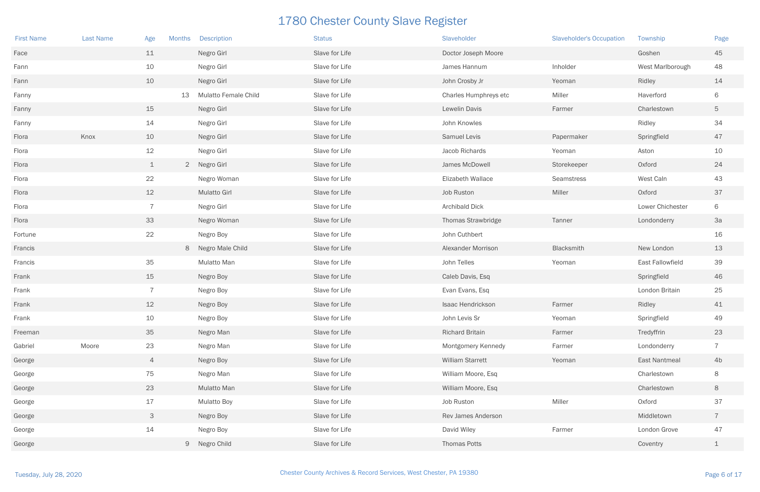| <b>First Name</b> | <b>Last Name</b> | Age            | Months | <b>Description</b>   | <b>Status</b>  | Slaveholder               | <b>Slaveholder's Occupation</b> | Township         | Page            |
|-------------------|------------------|----------------|--------|----------------------|----------------|---------------------------|---------------------------------|------------------|-----------------|
| Face              |                  | 11             |        | Negro Girl           | Slave for Life | Doctor Joseph Moore       |                                 | Goshen           | 45              |
| Fann              |                  | 10             |        | Negro Girl           | Slave for Life | James Hannum              | Inholder                        | West Marlborough | 48              |
| Fann              |                  | 10             |        | Negro Girl           | Slave for Life | John Crosby Jr            | Yeoman                          | Ridley           | 14              |
| Fanny             |                  |                | 13     | Mulatto Female Child | Slave for Life | Charles Humphreys etc     | Miller                          | Haverford        | 6               |
| Fanny             |                  | 15             |        | Negro Girl           | Slave for Life | Lewelin Davis             | Farmer                          | Charlestown      | 5               |
| Fanny             |                  | 14             |        | Negro Girl           | Slave for Life | John Knowles              |                                 | Ridley           | 34              |
| Flora             | Knox             | 10             |        | Negro Girl           | Slave for Life | <b>Samuel Levis</b>       | Papermaker                      | Springfield      | 47              |
| Flora             |                  | 12             |        | Negro Girl           | Slave for Life | Jacob Richards            | Yeoman                          | Aston            | 10              |
| Flora             |                  | $\perp$        |        | 2 Negro Girl         | Slave for Life | James McDowell            | Storekeeper                     | Oxford           | 24              |
| Flora             |                  | 22             |        | Negro Woman          | Slave for Life | Elizabeth Wallace         | Seamstress                      | West Caln        | 43              |
| Flora             |                  | 12             |        | <b>Mulatto Girl</b>  | Slave for Life | Job Ruston                | Miller                          | Oxford           | 37              |
| Flora             |                  | $\overline{7}$ |        | Negro Girl           | Slave for Life | Archibald Dick            |                                 | Lower Chichester | 6               |
| Flora             |                  | 33             |        | Negro Woman          | Slave for Life | Thomas Strawbridge        | Tanner                          | Londonderry      | 3a              |
| Fortune           |                  | 22             |        | Negro Boy            | Slave for Life | John Cuthbert             |                                 |                  | 16              |
| Francis           |                  |                |        | 8 Negro Male Child   | Slave for Life | <b>Alexander Morrison</b> | Blacksmith                      | New London       | 13              |
| Francis           |                  | 35             |        | Mulatto Man          | Slave for Life | John Telles               | Yeoman                          | East Fallowfield | 39              |
| Frank             |                  | 15             |        | Negro Boy            | Slave for Life | Caleb Davis, Esq          |                                 | Springfield      | 46              |
| Frank             |                  | $\overline{7}$ |        | Negro Boy            | Slave for Life | Evan Evans, Esq           |                                 | London Britain   | 25              |
| Frank             |                  | 12             |        | Negro Boy            | Slave for Life | Isaac Hendrickson         | Farmer                          | Ridley           | 41              |
| Frank             |                  | 10             |        | Negro Boy            | Slave for Life | John Levis Sr             | Yeoman                          | Springfield      | 49              |
| Freeman           |                  | 35             |        | Negro Man            | Slave for Life | <b>Richard Britain</b>    | Farmer                          | Tredyffrin       | 23              |
| Gabriel           | Moore            | 23             |        | Negro Man            | Slave for Life | Montgomery Kennedy        | Farmer                          | Londonderry      | $\overline{7}$  |
| George            |                  | $\overline{4}$ |        | Negro Boy            | Slave for Life | <b>William Starrett</b>   | Yeoman                          | East Nantmeal    | 4 <sub>b</sub>  |
| George            |                  | 75             |        | Negro Man            | Slave for Life | William Moore, Esq        |                                 | Charlestown      | 8               |
| George            |                  | 23             |        | Mulatto Man          | Slave for Life | William Moore, Esq        |                                 | Charlestown      | 8               |
| George            |                  | 17             |        | <b>Mulatto Boy</b>   | Slave for Life | Job Ruston                | Miller                          | Oxford           | 37              |
| George            |                  | $\mathcal{S}$  |        | Negro Boy            | Slave for Life | Rev James Anderson        |                                 | Middletown       | $7\overline{ }$ |
| George            |                  | 14             |        | Negro Boy            | Slave for Life | David Wiley               | Farmer                          | London Grove     | 47              |
| George            |                  |                |        | 9 Negro Child        | Slave for Life | <b>Thomas Potts</b>       |                                 | Coventry         | $\perp$         |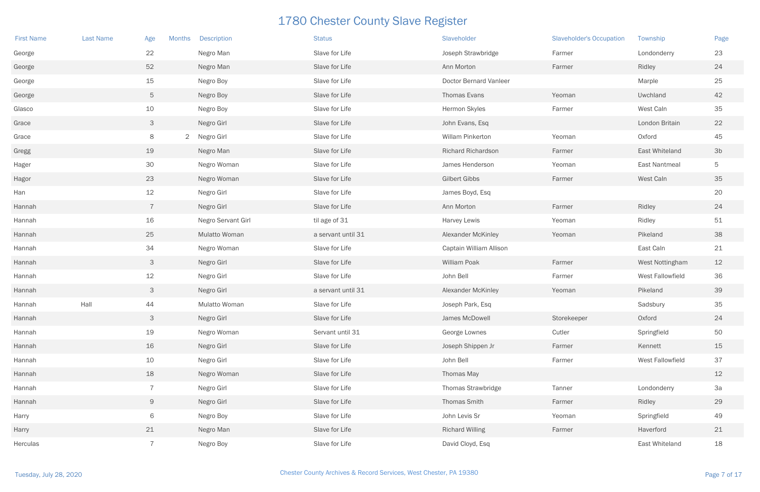| <b>First Name</b> | <b>Last Name</b> | Age<br><b>Months</b> | <b>Description</b>   | <b>Status</b>      | Slaveholder                   | <b>Slaveholder's Occupation</b> | Township         | Page           |
|-------------------|------------------|----------------------|----------------------|--------------------|-------------------------------|---------------------------------|------------------|----------------|
| George            |                  | 22                   | Negro Man            | Slave for Life     | Joseph Strawbridge            | Farmer                          | Londonderry      | 23             |
| George            |                  | 52                   | Negro Man            | Slave for Life     | Ann Morton                    | Farmer                          | Ridley           | 24             |
| George            |                  | 15                   | Negro Boy            | Slave for Life     | <b>Doctor Bernard Vanleer</b> |                                 | Marple           | 25             |
| George            |                  | $5\phantom{.0}$      | Negro Boy            | Slave for Life     | Thomas Evans                  | Yeoman                          | Uwchland         | 42             |
| Glasco            |                  | 10                   | Negro Boy            | Slave for Life     | Hermon Skyles                 | Farmer                          | West Caln        | 35             |
| Grace             |                  | $\mathcal{S}$        | Negro Girl           | Slave for Life     | John Evans, Esq               |                                 | London Britain   | 22             |
| Grace             |                  | 8                    | 2 Negro Girl         | Slave for Life     | Willam Pinkerton              | Yeoman                          | Oxford           | 45             |
| Gregg             |                  | 19                   | Negro Man            | Slave for Life     | <b>Richard Richardson</b>     | Farmer                          | East Whiteland   | 3 <sub>b</sub> |
| Hager             |                  | 30                   | Negro Woman          | Slave for Life     | James Henderson               | Yeoman                          | East Nantmeal    | 5              |
| Hagor             |                  | 23                   | Negro Woman          | Slave for Life     | <b>Gilbert Gibbs</b>          | Farmer                          | West Caln        | 35             |
| Han               |                  | 12                   | Negro Girl           | Slave for Life     | James Boyd, Esq               |                                 |                  | 20             |
| Hannah            |                  | $\overline{7}$       | Negro Girl           | Slave for Life     | Ann Morton                    | Farmer                          | Ridley           | 24             |
| Hannah            |                  | 16                   | Negro Servant Girl   | til age of 31      | <b>Harvey Lewis</b>           | Yeoman                          | Ridley           | 51             |
| Hannah            |                  | 25                   | <b>Mulatto Woman</b> | a servant until 31 | <b>Alexander McKinley</b>     | Yeoman                          | Pikeland         | 38             |
| Hannah            |                  | 34                   | Negro Woman          | Slave for Life     | Captain William Allison       |                                 | East Caln        | 21             |
| Hannah            |                  | $\mathcal{S}$        | Negro Girl           | Slave for Life     | William Poak                  | Farmer                          | West Nottingham  | 12             |
| Hannah            |                  | 12                   | Negro Girl           | Slave for Life     | John Bell                     | Farmer                          | West Fallowfield | 36             |
| Hannah            |                  | $\mathcal{S}$        | Negro Girl           | a servant until 31 | <b>Alexander McKinley</b>     | Yeoman                          | Pikeland         | 39             |
| Hannah            | Hall             | 44                   | <b>Mulatto Woman</b> | Slave for Life     | Joseph Park, Esq              |                                 | Sadsbury         | 35             |
| Hannah            |                  | $\mathcal{S}$        | Negro Girl           | Slave for Life     | James McDowell                | Storekeeper                     | Oxford           | 24             |
| Hannah            |                  | 19                   | Negro Woman          | Servant until 31   | George Lownes                 | Cutler                          | Springfield      | 50             |
| Hannah            |                  | 16                   | Negro Girl           | Slave for Life     | Joseph Shippen Jr             | Farmer                          | Kennett          | 15             |
| Hannah            |                  | 10                   | Negro Girl           | Slave for Life     | John Bell                     | Farmer                          | West Fallowfield | 37             |
| Hannah            |                  | 18                   | Negro Woman          | Slave for Life     | Thomas May                    |                                 |                  | 12             |
| Hannah            |                  | $\overline{7}$       | Negro Girl           | Slave for Life     | Thomas Strawbridge            | Tanner                          | Londonderry      | 3a             |
| Hannah            |                  | 9                    | Negro Girl           | Slave for Life     | Thomas Smith                  | Farmer                          | Ridley           | 29             |
| Harry             |                  | 6                    | Negro Boy            | Slave for Life     | John Levis Sr                 | Yeoman                          | Springfield      | 49             |
| Harry             |                  | 21                   | Negro Man            | Slave for Life     | <b>Richard Willing</b>        | Farmer                          | Haverford        | 21             |
| Herculas          |                  | $\overline{7}$       | Negro Boy            | Slave for Life     | David Cloyd, Esq              |                                 | East Whiteland   | 18             |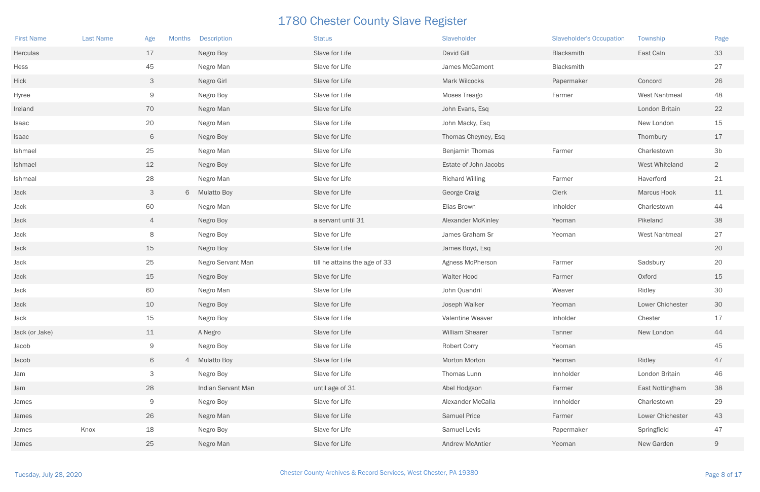| <b>First Name</b> | <b>Last Name</b> | Age<br>Months  | <b>Description</b> | <b>Status</b>                 | Slaveholder               | <b>Slaveholder's Occupation</b> | Township             | Page           |
|-------------------|------------------|----------------|--------------------|-------------------------------|---------------------------|---------------------------------|----------------------|----------------|
| Herculas          |                  | 17             | Negro Boy          | Slave for Life                | David Gill                | Blacksmith                      | East Caln            | 33             |
| Hess              |                  | 45             | Negro Man          | Slave for Life                | James McCamont            | Blacksmith                      |                      | 27             |
| Hick              |                  | $\mathcal{S}$  | Negro Girl         | Slave for Life                | Mark Wilcocks             | Papermaker                      | Concord              | 26             |
| Hyree             |                  | 9              | Negro Boy          | Slave for Life                | Moses Treago              | Farmer                          | <b>West Nantmeal</b> | 48             |
| Ireland           |                  | 70             | Negro Man          | Slave for Life                | John Evans, Esq           |                                 | London Britain       | 22             |
| Isaac             |                  | 20             | Negro Man          | Slave for Life                | John Macky, Esq           |                                 | New London           | 15             |
| Isaac             |                  | 6              | Negro Boy          | Slave for Life                | Thomas Cheyney, Esq       |                                 | Thornbury            | 17             |
| Ishmael           |                  | 25             | Negro Man          | Slave for Life                | Benjamin Thomas           | Farmer                          | Charlestown          | 3 <sub>b</sub> |
| Ishmael           |                  | 12             | Negro Boy          | Slave for Life                | Estate of John Jacobs     |                                 | West Whiteland       | 2 <sup>2</sup> |
| Ishmeal           |                  | 28             | Negro Man          | Slave for Life                | <b>Richard Willing</b>    | Farmer                          | Haverford            | 21             |
| Jack              |                  | 3              | 6 Mulatto Boy      | Slave for Life                | George Craig              | Clerk                           | <b>Marcus Hook</b>   | 11             |
| Jack              |                  | 60             | Negro Man          | Slave for Life                | Elias Brown               | Inholder                        | Charlestown          | 44             |
| Jack              |                  | $\overline{4}$ | Negro Boy          | a servant until 31            | <b>Alexander McKinley</b> | Yeoman                          | Pikeland             | 38             |
| Jack              |                  | 8              | Negro Boy          | Slave for Life                | James Graham Sr           | Yeoman                          | <b>West Nantmeal</b> | 27             |
| Jack              |                  | 15             | Negro Boy          | Slave for Life                | James Boyd, Esq           |                                 |                      | 20             |
| Jack              |                  | 25             | Negro Servant Man  | till he attains the age of 33 | Agness McPherson          | Farmer                          | Sadsbury             | 20             |
| Jack              |                  | 15             | Negro Boy          | Slave for Life                | Walter Hood               | Farmer                          | Oxford               | 15             |
| Jack              |                  | 60             | Negro Man          | Slave for Life                | John Quandril             | Weaver                          | Ridley               | 30             |
| Jack              |                  | 10             | Negro Boy          | Slave for Life                | Joseph Walker             | Yeoman                          | Lower Chichester     | 30             |
| Jack              |                  | 15             | Negro Boy          | Slave for Life                | Valentine Weaver          | Inholder                        | Chester              | $17\,$         |
| Jack (or Jake)    |                  | 11             | A Negro            | Slave for Life                | William Shearer           | Tanner                          | New London           | 44             |
| Jacob             |                  | 9              | Negro Boy          | Slave for Life                | <b>Robert Corry</b>       | Yeoman                          |                      | 45             |
| Jacob             |                  | 6              | 4 Mulatto Boy      | Slave for Life                | Morton Morton             | Yeoman                          | Ridley               | 47             |
| Jam               |                  | $\mathcal{S}$  | Negro Boy          | Slave for Life                | Thomas Lunn               | Innholder                       | London Britain       | 46             |
| Jam               |                  | 28             | Indian Servant Man | until age of 31               | Abel Hodgson              | Farmer                          | East Nottingham      | 38             |
| James             |                  | 9              | Negro Boy          | Slave for Life                | Alexander McCalla         | Innholder                       | Charlestown          | 29             |
| James             |                  | 26             | Negro Man          | Slave for Life                | <b>Samuel Price</b>       | Farmer                          | Lower Chichester     | 43             |
| James             | Knox             | 18             | Negro Boy          | Slave for Life                | Samuel Levis              | Papermaker                      | Springfield          | 47             |
| James             |                  | 25             | Negro Man          | Slave for Life                | <b>Andrew McAntier</b>    | Yeoman                          | New Garden           | 9              |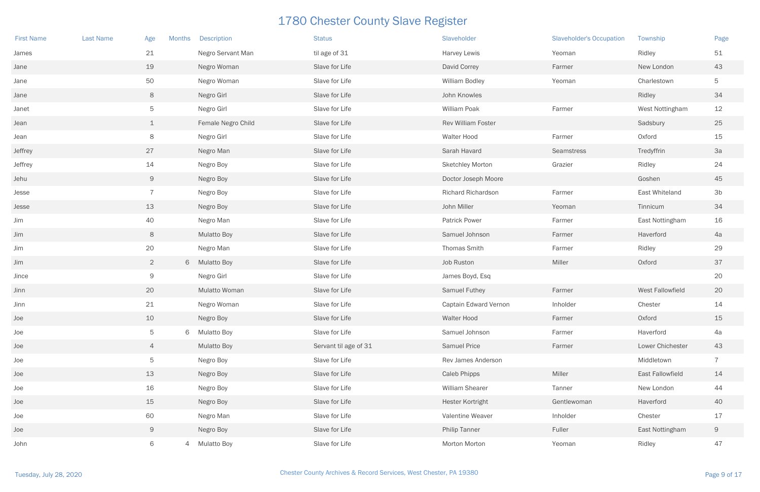| <b>First Name</b> | <b>Last Name</b> | Age<br><b>Months</b> | <b>Description</b>   | <b>Status</b>         | Slaveholder             | <b>Slaveholder's Occupation</b> | Township                | Page           |
|-------------------|------------------|----------------------|----------------------|-----------------------|-------------------------|---------------------------------|-------------------------|----------------|
| James             |                  | 21                   | Negro Servant Man    | til age of 31         | <b>Harvey Lewis</b>     | Yeoman                          | Ridley                  | 51             |
| Jane              |                  | 19                   | Negro Woman          | Slave for Life        | David Correy            | Farmer                          | New London              | 43             |
| Jane              |                  | 50                   | Negro Woman          | Slave for Life        | William Bodley          | Yeoman                          | Charlestown             | 5              |
| Jane              |                  | 8                    | Negro Girl           | Slave for Life        | John Knowles            |                                 | Ridley                  | 34             |
| Janet             |                  | $\overline{5}$       | Negro Girl           | Slave for Life        | William Poak            | Farmer                          | West Nottingham         | 12             |
| Jean              |                  | $\perp$              | Female Negro Child   | Slave for Life        | Rev William Foster      |                                 | Sadsbury                | 25             |
| Jean              |                  | 8                    | Negro Girl           | Slave for Life        | Walter Hood             | Farmer                          | Oxford                  | 15             |
| <b>Jeffrey</b>    |                  | 27                   | Negro Man            | Slave for Life        | Sarah Havard            | Seamstress                      | Tredyffrin              | 3a             |
| Jeffrey           |                  | 14                   | Negro Boy            | Slave for Life        | <b>Sketchley Morton</b> | Grazier                         | Ridley                  | 24             |
| Jehu              |                  | 9                    | Negro Boy            | Slave for Life        | Doctor Joseph Moore     |                                 | Goshen                  | 45             |
| Jesse             |                  | $\overline{7}$       | Negro Boy            | Slave for Life        | Richard Richardson      | Farmer                          | East Whiteland          | 3 <sub>b</sub> |
| Jesse             |                  | 13                   | Negro Boy            | Slave for Life        | John Miller             | Yeoman                          | Tinnicum                | 34             |
| Jim               |                  | 40                   | Negro Man            | Slave for Life        | <b>Patrick Power</b>    | Farmer                          | East Nottingham         | 16             |
| Jim               |                  | 8                    | <b>Mulatto Boy</b>   | Slave for Life        | Samuel Johnson          | Farmer                          | Haverford               | 4a             |
| Jim               |                  | 20                   | Negro Man            | Slave for Life        | <b>Thomas Smith</b>     | Farmer                          | Ridley                  | 29             |
| Jim               |                  | $\overline{2}$       | 6 Mulatto Boy        | Slave for Life        | Job Ruston              | Miller                          | Oxford                  | 37             |
| Jince             |                  | $\Theta$             | Negro Girl           | Slave for Life        | James Boyd, Esq         |                                 |                         | 20             |
| Jinn              |                  | 20                   | <b>Mulatto Woman</b> | Slave for Life        | Samuel Futhey           | Farmer                          | West Fallowfield        | 20             |
| Jinn              |                  | 21                   | Negro Woman          | Slave for Life        | Captain Edward Vernon   | Inholder                        | Chester                 | 14             |
| Joe               |                  | 10                   | Negro Boy            | Slave for Life        | Walter Hood             | Farmer                          | Oxford                  | 15             |
| Joe               |                  | $\overline{5}$       | 6 Mulatto Boy        | Slave for Life        | Samuel Johnson          | Farmer                          | Haverford               | 4a             |
| Joe               |                  | $\overline{4}$       | <b>Mulatto Boy</b>   | Servant til age of 31 | <b>Samuel Price</b>     | Farmer                          | Lower Chichester        | 43             |
| Joe               |                  | $5\phantom{.0}$      | Negro Boy            | Slave for Life        | Rev James Anderson      |                                 | Middletown              | $\overline{7}$ |
| Joe               |                  | 13                   | Negro Boy            | Slave for Life        | <b>Caleb Phipps</b>     | Miller                          | <b>East Fallowfield</b> | 14             |
| Joe               |                  | 16                   | Negro Boy            | Slave for Life        | <b>William Shearer</b>  | Tanner                          | New London              | 44             |
| Joe               |                  | 15                   | Negro Boy            | Slave for Life        | <b>Hester Kortright</b> | Gentlewoman                     | Haverford               | 40             |
| Joe               |                  | 60                   | Negro Man            | Slave for Life        | Valentine Weaver        | Inholder                        | Chester                 | 17             |
| Joe               |                  | 9                    | Negro Boy            | Slave for Life        | <b>Philip Tanner</b>    | Fuller                          | East Nottingham         | 9              |
| John              |                  | 6                    | 4 Mulatto Boy        | Slave for Life        | Morton Morton           | Yeoman                          | Ridley                  | 47             |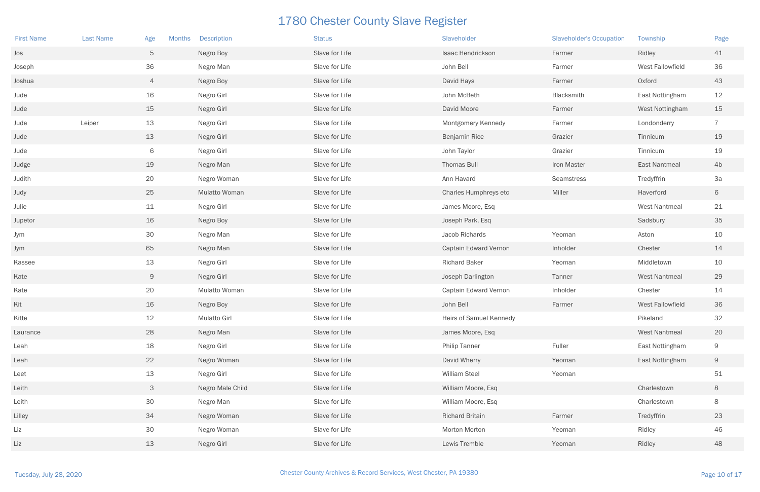| <b>First Name</b> | <b>Last Name</b> | Age<br><b>Months</b> | <b>Description</b>  | <b>Status</b>  | Slaveholder             | <b>Slaveholder's Occupation</b> | Township             | Page           |
|-------------------|------------------|----------------------|---------------------|----------------|-------------------------|---------------------------------|----------------------|----------------|
| Jos               |                  | $5\phantom{.0}$      | Negro Boy           | Slave for Life | Isaac Hendrickson       | Farmer                          | Ridley               | 41             |
| Joseph            |                  | 36                   | Negro Man           | Slave for Life | John Bell               | Farmer                          | West Fallowfield     | 36             |
| Joshua            |                  | $\overline{4}$       | Negro Boy           | Slave for Life | David Hays              | Farmer                          | Oxford               | 43             |
| Jude              |                  | 16                   | Negro Girl          | Slave for Life | John McBeth             | Blacksmith                      | East Nottingham      | 12             |
| Jude              |                  | 15                   | Negro Girl          | Slave for Life | David Moore             | Farmer                          | West Nottingham      | 15             |
| Jude              | Leiper           | 13                   | Negro Girl          | Slave for Life | Montgomery Kennedy      | Farmer                          | Londonderry          | $\overline{7}$ |
| Jude              |                  | 13                   | Negro Girl          | Slave for Life | Benjamin Rice           | Grazier                         | Tinnicum             | 19             |
| Jude              |                  | 6                    | Negro Girl          | Slave for Life | John Taylor             | Grazier                         | Tinnicum             | 19             |
| Judge             |                  | 19                   | Negro Man           | Slave for Life | Thomas Bull             | Iron Master                     | <b>East Nantmeal</b> | 4 <sub>b</sub> |
| Judith            |                  | 20                   | Negro Woman         | Slave for Life | Ann Havard              | Seamstress                      | Tredyffrin           | 3a             |
| Judy              |                  | 25                   | Mulatto Woman       | Slave for Life | Charles Humphreys etc   | Miller                          | Haverford            | 6              |
| Julie             |                  | 11                   | Negro Girl          | Slave for Life | James Moore, Esq        |                                 | West Nantmeal        | 21             |
| Jupetor           |                  | 16                   | Negro Boy           | Slave for Life | Joseph Park, Esq        |                                 | Sadsbury             | 35             |
| Jym               |                  | 30                   | Negro Man           | Slave for Life | Jacob Richards          | Yeoman                          | Aston                | 10             |
| Jym               |                  | 65                   | Negro Man           | Slave for Life | Captain Edward Vernon   | Inholder                        | Chester              | 14             |
| Kassee            |                  | 13                   | Negro Girl          | Slave for Life | <b>Richard Baker</b>    | Yeoman                          | Middletown           | 10             |
| Kate              |                  | 9                    | Negro Girl          | Slave for Life | Joseph Darlington       | Tanner                          | <b>West Nantmeal</b> | 29             |
| Kate              |                  | 20                   | Mulatto Woman       | Slave for Life | Captain Edward Vernon   | Inholder                        | Chester              | 14             |
| Kit               |                  | 16                   | Negro Boy           | Slave for Life | John Bell               | Farmer                          | West Fallowfield     | 36             |
| Kitte             |                  | 12                   | <b>Mulatto Girl</b> | Slave for Life | Heirs of Samuel Kennedy |                                 | Pikeland             | 32             |
| Laurance          |                  | 28                   | Negro Man           | Slave for Life | James Moore, Esq        |                                 | <b>West Nantmeal</b> | 20             |
| Leah              |                  | 18                   | Negro Girl          | Slave for Life | <b>Philip Tanner</b>    | Fuller                          | East Nottingham      | 9              |
| Leah              |                  | 22                   | Negro Woman         | Slave for Life | David Wherry            | Yeoman                          | East Nottingham      | 9              |
| Leet              |                  | 13                   | Negro Girl          | Slave for Life | William Steel           | Yeoman                          |                      | 51             |
| Leith             |                  | $\mathcal{S}$        | Negro Male Child    | Slave for Life | William Moore, Esq      |                                 | Charlestown          | 8              |
| Leith             |                  | 30                   | Negro Man           | Slave for Life | William Moore, Esq      |                                 | Charlestown          | 8              |
| Lilley            |                  | 34                   | Negro Woman         | Slave for Life | <b>Richard Britain</b>  | Farmer                          | Tredyffrin           | 23             |
| Liz               |                  | 30                   | Negro Woman         | Slave for Life | Morton Morton           | Yeoman                          | Ridley               | 46             |
| Liz               |                  | 13                   | Negro Girl          | Slave for Life | Lewis Tremble           | Yeoman                          | Ridley               | 48             |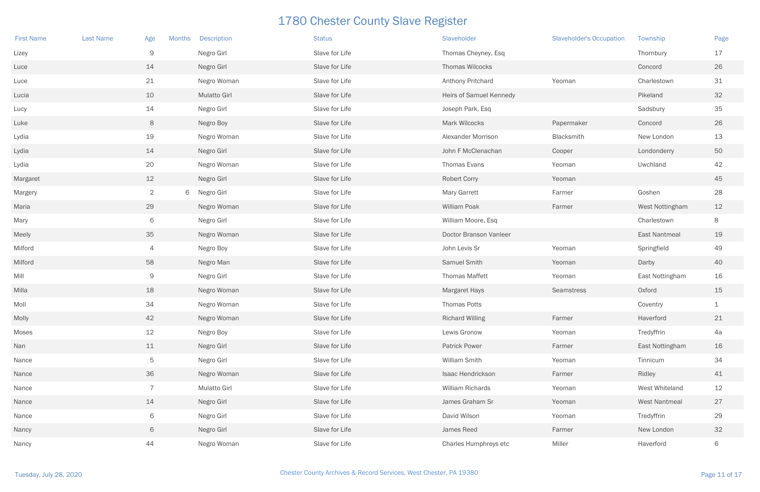| <b>First Name</b> | <b>Last Name</b> | Age<br>Months   |   | <b>Description</b>  | <b>Status</b>  | Slaveholder             | <b>Slaveholder's Occupation</b> | Township             | Page |
|-------------------|------------------|-----------------|---|---------------------|----------------|-------------------------|---------------------------------|----------------------|------|
| Lizey             |                  | $\mathsf 9$     |   | Negro Girl          | Slave for Life | Thomas Cheyney, Esq     |                                 | Thornbury            | 17   |
| Luce              |                  | 14              |   | Negro Girl          | Slave for Life | Thomas Wilcocks         |                                 | Concord              | 26   |
| Luce              |                  | 21              |   | Negro Woman         | Slave for Life | Anthony Pritchard       | Yeoman                          | Charlestown          | 31   |
| Lucia             |                  | 10              |   | <b>Mulatto Girl</b> | Slave for Life | Heirs of Samuel Kennedy |                                 | Pikeland             | 32   |
| Lucy              |                  | 14              |   | Negro Girl          | Slave for Life | Joseph Park, Esq        |                                 | Sadsbury             | 35   |
| Luke              |                  | $8\phantom{1}$  |   | Negro Boy           | Slave for Life | Mark Wilcocks           | Papermaker                      | Concord              | 26   |
| Lydia             |                  | 19              |   | Negro Woman         | Slave for Life | Alexander Morrison      | Blacksmith                      | New London           | 13   |
| Lydia             |                  | 14              |   | Negro Girl          | Slave for Life | John F McClenachan      | Cooper                          | Londonderry          | 50   |
| Lydia             |                  | 20              |   | Negro Woman         | Slave for Life | Thomas Evans            | Yeoman                          | Uwchland             | 42   |
| Margaret          |                  | 12              |   | Negro Girl          | Slave for Life | <b>Robert Corry</b>     | Yeoman                          |                      | 45   |
| Margery           |                  | $\overline{2}$  | 6 | Negro Girl          | Slave for Life | <b>Mary Garrett</b>     | Farmer                          | Goshen               | 28   |
| Maria             |                  | 29              |   | Negro Woman         | Slave for Life | William Poak            | Farmer                          | West Nottingham      | 12   |
| Mary              |                  | 6               |   | Negro Girl          | Slave for Life | William Moore, Esq      |                                 | Charlestown          | 8    |
| Meely             |                  | 35              |   | Negro Woman         | Slave for Life | Doctor Branson Vanleer  |                                 | East Nantmeal        | 19   |
| Milford           |                  | 4               |   | Negro Boy           | Slave for Life | John Levis Sr           | Yeoman                          | Springfield          | 49   |
| Milford           |                  | 58              |   | Negro Man           | Slave for Life | Samuel Smith            | Yeoman                          | Darby                | 40   |
| Mill              |                  | $\Theta$        |   | Negro Girl          | Slave for Life | <b>Thomas Maffett</b>   | Yeoman                          | East Nottingham      | 16   |
| Milla             |                  | 18              |   | Negro Woman         | Slave for Life | <b>Margaret Hays</b>    | <b>Seamstress</b>               | Oxford               | 15   |
| Moll              |                  | 34              |   | Negro Woman         | Slave for Life | <b>Thomas Potts</b>     |                                 | Coventry             | 1    |
| Molly             |                  | 42              |   | Negro Woman         | Slave for Life | <b>Richard Willing</b>  | Farmer                          | Haverford            | 21   |
| Moses             |                  | 12              |   | Negro Boy           | Slave for Life | Lewis Gronow            | Yeoman                          | Tredyffrin           | 4a   |
| Nan               |                  | 11              |   | Negro Girl          | Slave for Life | <b>Patrick Power</b>    | Farmer                          | East Nottingham      | 16   |
| Nance             |                  | $5\phantom{.0}$ |   | Negro Girl          | Slave for Life | William Smith           | Yeoman                          | Tinnicum             | 34   |
| Nance             |                  | 36              |   | Negro Woman         | Slave for Life | Isaac Hendrickson       | Farmer                          | Ridley               | 41   |
| Nance             |                  | $\overline{7}$  |   | Mulatto Girl        | Slave for Life | William Richards        | Yeoman                          | West Whiteland       | 12   |
| Nance             |                  | 14              |   | Negro Girl          | Slave for Life | James Graham Sr         | Yeoman                          | <b>West Nantmeal</b> | 27   |
| Nance             |                  | 6               |   | Negro Girl          | Slave for Life | David Wilson            | Yeoman                          | Tredyffrin           | 29   |
| Nancy             |                  | 6               |   | Negro Girl          | Slave for Life | James Reed              | Farmer                          | New London           | 32   |
| Nancy             |                  | 44              |   | Negro Woman         | Slave for Life | Charles Humphreys etc   | Miller                          | Haverford            | 6    |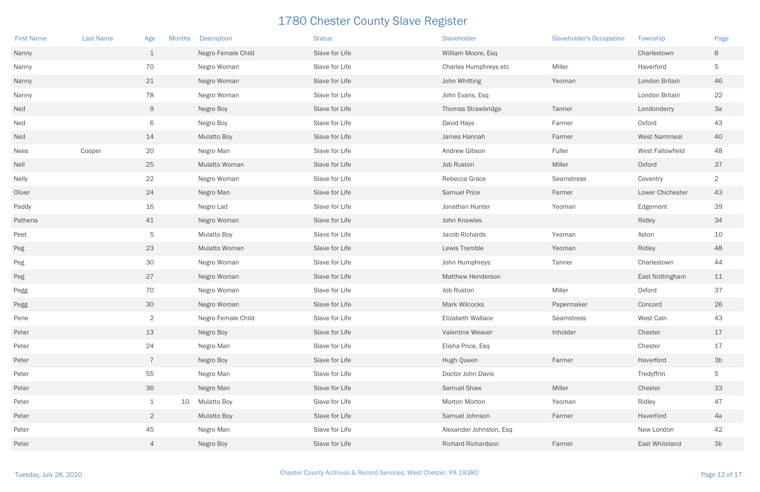| <b>First Name</b> | <b>Last Name</b> | Age<br><b>Months</b> |    | <b>Description</b> | <b>Status</b>  | Slaveholder               | <b>Slaveholder's Occupation</b> | Township             | Page           |
|-------------------|------------------|----------------------|----|--------------------|----------------|---------------------------|---------------------------------|----------------------|----------------|
| Nanny             |                  | $\perp$              |    | Negro Female Child | Slave for Life | William Moore, Esq        |                                 | Charlestown          | 8              |
| Nanny             |                  | 70                   |    | Negro Woman        | Slave for Life | Charles Humphreys etc     | Miller                          | Haverford            | 5              |
| Nanny             |                  | 21                   |    | Negro Woman        | Slave for Life | John Whitting             | Yeoman                          | London Britain       | 46             |
| Nanny             |                  | 78                   |    | Negro Woman        | Slave for Life | John Evans, Esq           |                                 | London Britain       | 22             |
| Ned               |                  | 9                    |    | Negro Boy          | Slave for Life | <b>Thomas Strawbridge</b> | Tanner                          | Londonderry          | 3a             |
| Ned               |                  | 6                    |    | Negro Boy          | Slave for Life | David Hays                | Farmer                          | Oxford               | 43             |
| Ned               |                  | 14                   |    | <b>Mulatto Boy</b> | Slave for Life | James Hannah              | Farmer                          | <b>West Nantmeal</b> | 40             |
| Nees              | Cooper           | 20                   |    | Negro Man          | Slave for Life | Andrew Gibson             | Fuller                          | West Fallowfield     | 48             |
| Nell              |                  | 25                   |    | Mulatto Woman      | Slave for Life | Job Ruston                | Miller                          | Oxford               | 37             |
| Nelly             |                  | 22                   |    | Negro Woman        | Slave for Life | Rebecca Grace             | Seamstress                      | Coventry             | $\overline{2}$ |
| Oliver            |                  | 24                   |    | Negro Man          | Slave for Life | <b>Samuel Price</b>       | Farmer                          | Lower Chichester     | 43             |
| Paddy             |                  | 16                   |    | Negro Lad          | Slave for Life | Jonathan Hunter           | Yeoman                          | Edgemont             | 39             |
| Pathena           |                  | 41                   |    | Negro Woman        | Slave for Life | John Knowles              |                                 | Ridley               | 34             |
| Peet              |                  | $5\phantom{.0}$      |    | <b>Mulatto Boy</b> | Slave for Life | Jacob Richards            | Yeoman                          | Aston                | 10             |
| Peg               |                  | 23                   |    | Mulatto Woman      | Slave for Life | Lewis Tremble             | Yeoman                          | Ridley               | 48             |
| Peg               |                  | 30                   |    | Negro Woman        | Slave for Life | John Humphreys            | Tanner                          | Charlestown          | 44             |
| Peg               |                  | 27                   |    | Negro Woman        | Slave for Life | <b>Matthew Henderson</b>  |                                 | East Nottingham      | 11             |
| Pegg              |                  | 70                   |    | Negro Woman        | Slave for Life | Job Ruston                | Miller                          | Oxford               | 37             |
| Pegg              |                  | 30                   |    | Negro Woman        | Slave for Life | <b>Mark Wilcocks</b>      | Papermaker                      | Concord              | 26             |
| Pene              |                  | $\overline{2}$       |    | Negro Female Child | Slave for Life | Elizabeth Wallace         | Seamstress                      | West Caln            | 43             |
| Peter             |                  | 13                   |    | Negro Boy          | Slave for Life | Valentine Weaver          | Inholder                        | Chester              | $17$           |
| Peter             |                  | 24                   |    | Negro Man          | Slave for Life | Elisha Price, Esq         |                                 | Chester              | 17             |
| Peter             |                  | $\overline{7}$       |    | Negro Boy          | Slave for Life | Hugh Queen                | Farmer                          | Haverford            | 3 <sub>b</sub> |
| Peter             |                  | 55                   |    | Negro Man          | Slave for Life | Doctor John Davis         |                                 | Tredyffrin           | 5              |
| Peter             |                  | 36                   |    | Negro Man          | Slave for Life | Samuel Shaw               | Miller                          | Chester              | 33             |
| Peter             |                  | $\mathbf 1$          | 10 | <b>Mulatto Boy</b> | Slave for Life | Morton Morton             | Yeoman                          | Ridley               | 47             |
| Peter             |                  | $\overline{2}$       |    | <b>Mulatto Boy</b> | Slave for Life | Samuel Johnson            | Farmer                          | Haverford            | 4a             |
| Peter             |                  | 45                   |    | Negro Man          | Slave for Life | Alexander Johnston, Esq   |                                 | New London           | 42             |
| Peter             |                  | $\overline{4}$       |    | Negro Boy          | Slave for Life | Richard Richardson        | Farmer                          | East Whiteland       | 3 <sub>b</sub> |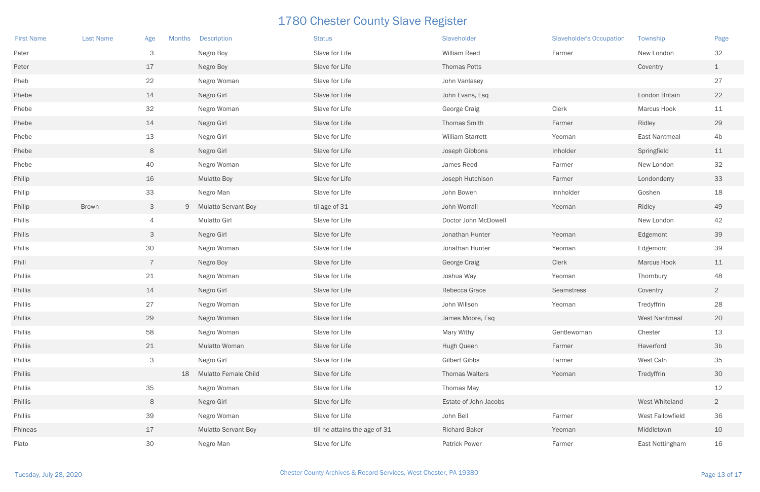| <b>First Name</b> | <b>Last Name</b> | Age<br><b>Months</b> |    | <b>Description</b>          | <b>Status</b>                 | Slaveholder           | <b>Slaveholder's Occupation</b> | Township             | Page           |
|-------------------|------------------|----------------------|----|-----------------------------|-------------------------------|-----------------------|---------------------------------|----------------------|----------------|
| Peter             |                  | 3                    |    | Negro Boy                   | Slave for Life                | William Reed          | Farmer                          | New London           | 32             |
| Peter             |                  | 17                   |    | Negro Boy                   | Slave for Life                | Thomas Potts          |                                 | Coventry             | $\mathbf{1}$   |
| Pheb              |                  | 22                   |    | Negro Woman                 | Slave for Life                | John Vanlasey         |                                 |                      | 27             |
| Phebe             |                  | 14                   |    | Negro Girl                  | Slave for Life                | John Evans, Esq       |                                 | London Britain       | 22             |
| Phebe             |                  | 32                   |    | Negro Woman                 | Slave for Life                | George Craig          | Clerk                           | <b>Marcus Hook</b>   | 11             |
| Phebe             |                  | 14                   |    | Negro Girl                  | Slave for Life                | Thomas Smith          | Farmer                          | Ridley               | 29             |
| Phebe             |                  | 13                   |    | Negro Girl                  | Slave for Life                | William Starrett      | Yeoman                          | East Nantmeal        | 4b             |
| Phebe             |                  | $8\phantom{1}$       |    | Negro Girl                  | Slave for Life                | Joseph Gibbons        | Inholder                        | Springfield          | 11             |
| Phebe             |                  | 40                   |    | Negro Woman                 | Slave for Life                | James Reed            | Farmer                          | New London           | 32             |
| Philip            |                  | 16                   |    | <b>Mulatto Boy</b>          | Slave for Life                | Joseph Hutchison      | Farmer                          | Londonderry          | 33             |
| Philip            |                  | 33                   |    | Negro Man                   | Slave for Life                | John Bowen            | Innholder                       | Goshen               | 18             |
| Philip            | Brown            | $\mathcal{S}$        |    | 9 Mulatto Servant Boy       | til age of 31                 | John Worrall          | Yeoman                          | Ridley               | 49             |
| Philis            |                  | 4                    |    | <b>Mulatto Girl</b>         | Slave for Life                | Doctor John McDowell  |                                 | New London           | 42             |
| Philis            |                  | $\mathcal{S}$        |    | Negro Girl                  | Slave for Life                | Jonathan Hunter       | Yeoman                          | Edgemont             | 39             |
| Philis            |                  | 30                   |    | Negro Woman                 | Slave for Life                | Jonathan Hunter       | Yeoman                          | Edgemont             | 39             |
| Phill             |                  | $\overline{7}$       |    | Negro Boy                   | Slave for Life                | George Craig          | Clerk                           | Marcus Hook          | 11             |
| Phillis           |                  | 21                   |    | Negro Woman                 | Slave for Life                | Joshua Way            | Yeoman                          | Thornbury            | 48             |
| Phillis           |                  | 14                   |    | Negro Girl                  | Slave for Life                | Rebecca Grace         | <b>Seamstress</b>               | Coventry             | $\overline{2}$ |
| Phillis           |                  | 27                   |    | Negro Woman                 | Slave for Life                | John Willson          | Yeoman                          | Tredyffrin           | 28             |
| Phillis           |                  | 29                   |    | Negro Woman                 | Slave for Life                | James Moore, Esq      |                                 | <b>West Nantmeal</b> | 20             |
| Phillis           |                  | 58                   |    | Negro Woman                 | Slave for Life                | Mary Withy            | Gentlewoman                     | Chester              | 13             |
| Phillis           |                  | 21                   |    | Mulatto Woman               | Slave for Life                | Hugh Queen            | Farmer                          | Haverford            | 3 <sub>b</sub> |
| Phillis           |                  | $\mathcal{S}$        |    | Negro Girl                  | Slave for Life                | Gilbert Gibbs         | Farmer                          | West Caln            | 35             |
| Phillis           |                  |                      | 18 | <b>Mulatto Female Child</b> | Slave for Life                | Thomas Walters        | Yeoman                          | Tredyffrin           | 30             |
| Phillis           |                  | 35                   |    | Negro Woman                 | Slave for Life                | Thomas May            |                                 |                      | 12             |
| Phillis           |                  | $8\phantom{1}$       |    | Negro Girl                  | Slave for Life                | Estate of John Jacobs |                                 | West Whiteland       | $\overline{2}$ |
| Phillis           |                  | 39                   |    | Negro Woman                 | Slave for Life                | John Bell             | Farmer                          | West Fallowfield     | 36             |
| Phineas           |                  | 17                   |    | <b>Mulatto Servant Boy</b>  | till he attains the age of 31 | <b>Richard Baker</b>  | Yeoman                          | Middletown           | 10             |
| Plato             |                  | 30                   |    | Negro Man                   | Slave for Life                | <b>Patrick Power</b>  | Farmer                          | East Nottingham      | 16             |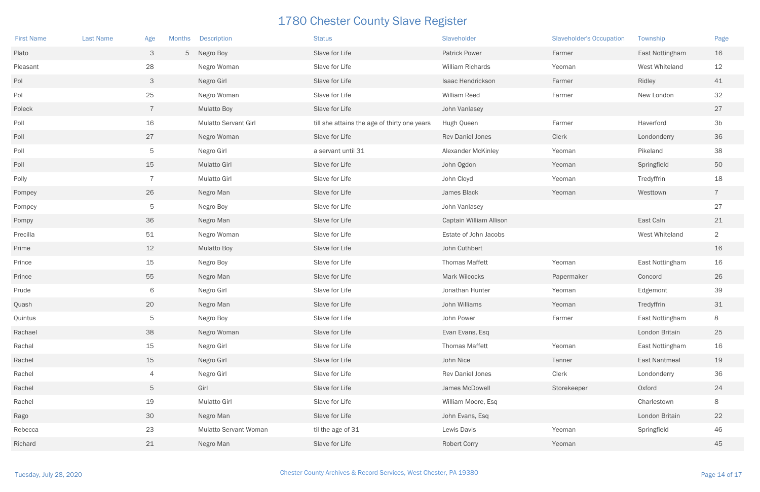| <b>First Name</b> | <b>Last Name</b> | Age            | <b>Months</b> | <b>Description</b>          | <b>Status</b>                                | Slaveholder               | <b>Slaveholder's Occupation</b> | Township        | Page           |
|-------------------|------------------|----------------|---------------|-----------------------------|----------------------------------------------|---------------------------|---------------------------------|-----------------|----------------|
| Plato             |                  | 3              |               | 5 Negro Boy                 | Slave for Life                               | <b>Patrick Power</b>      | Farmer                          | East Nottingham | 16             |
| Pleasant          |                  | 28             |               | Negro Woman                 | Slave for Life                               | <b>William Richards</b>   | Yeoman                          | West Whiteland  | 12             |
| Pol               |                  | 3              |               | Negro Girl                  | Slave for Life                               | Isaac Hendrickson         | Farmer                          | Ridley          | 41             |
| Pol               |                  | 25             |               | Negro Woman                 | Slave for Life                               | William Reed              | Farmer                          | New London      | 32             |
| Poleck            |                  | $\overline{7}$ |               | <b>Mulatto Boy</b>          | Slave for Life                               | John Vanlasey             |                                 |                 | 27             |
| Poll              |                  | 16             |               | <b>Mulatto Servant Girl</b> | till she attains the age of thirty one years | Hugh Queen                | Farmer                          | Haverford       | 3 <sub>b</sub> |
| Poll              |                  | 27             |               | Negro Woman                 | Slave for Life                               | <b>Rev Daniel Jones</b>   | Clerk                           | Londonderry     | 36             |
| Poll              |                  | 5              |               | Negro Girl                  | a servant until 31                           | <b>Alexander McKinley</b> | Yeoman                          | Pikeland        | 38             |
| Poll              |                  | 15             |               | <b>Mulatto Girl</b>         | Slave for Life                               | John Ogdon                | Yeoman                          | Springfield     | 50             |
| Polly             |                  | $\overline{7}$ |               | <b>Mulatto Girl</b>         | Slave for Life                               | John Cloyd                | Yeoman                          | Tredyffrin      | 18             |
| Pompey            |                  | 26             |               | Negro Man                   | Slave for Life                               | James Black               | Yeoman                          | Westtown        | $\overline{7}$ |
| Pompey            |                  | $\overline{5}$ |               | Negro Boy                   | Slave for Life                               | John Vanlasey             |                                 |                 | 27             |
| Pompy             |                  | 36             |               | Negro Man                   | Slave for Life                               | Captain William Allison   |                                 | East Caln       | 21             |
| Precilla          |                  | 51             |               | Negro Woman                 | Slave for Life                               | Estate of John Jacobs     |                                 | West Whiteland  | $\overline{2}$ |
| Prime             |                  | 12             |               | <b>Mulatto Boy</b>          | Slave for Life                               | John Cuthbert             |                                 |                 | 16             |
| Prince            |                  | 15             |               | Negro Boy                   | Slave for Life                               | <b>Thomas Maffett</b>     | Yeoman                          | East Nottingham | 16             |
| Prince            |                  | 55             |               | Negro Man                   | Slave for Life                               | Mark Wilcocks             | Papermaker                      | Concord         | 26             |
| Prude             |                  | 6              |               | Negro Girl                  | Slave for Life                               | Jonathan Hunter           | Yeoman                          | Edgemont        | 39             |
| Quash             |                  | 20             |               | Negro Man                   | Slave for Life                               | John Williams             | Yeoman                          | Tredyffrin      | 31             |
| Quintus           |                  | $\mathbf 5$    |               | Negro Boy                   | Slave for Life                               | John Power                | Farmer                          | East Nottingham | 8              |
| Rachael           |                  | 38             |               | Negro Woman                 | Slave for Life                               | Evan Evans, Esq           |                                 | London Britain  | 25             |
| Rachal            |                  | 15             |               | Negro Girl                  | Slave for Life                               | <b>Thomas Maffett</b>     | Yeoman                          | East Nottingham | 16             |
| Rachel            |                  | 15             |               | Negro Girl                  | Slave for Life                               | John Nice                 | Tanner                          | East Nantmeal   | 19             |
| Rachel            |                  | 4              |               | Negro Girl                  | Slave for Life                               | Rev Daniel Jones          | Clerk                           | Londonderry     | 36             |
| Rachel            |                  | 5              |               | Girl                        | Slave for Life                               | James McDowell            | Storekeeper                     | Oxford          | 24             |
| Rachel            |                  | 19             |               | Mulatto Girl                | Slave for Life                               | William Moore, Esq        |                                 | Charlestown     | 8              |
| Rago              |                  | 30             |               | Negro Man                   | Slave for Life                               | John Evans, Esq           |                                 | London Britain  | 22             |
| Rebecca           |                  | 23             |               | Mulatto Servant Woman       | til the age of 31                            | Lewis Davis               | Yeoman                          | Springfield     | 46             |
| Richard           |                  | 21             |               | Negro Man                   | Slave for Life                               | <b>Robert Corry</b>       | Yeoman                          |                 | 45             |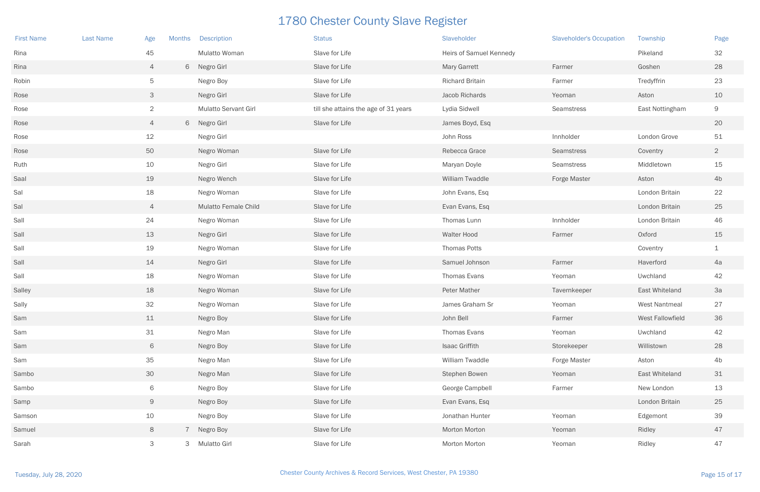| <b>First Name</b> | <b>Last Name</b> | Age            | <b>Months</b>  | <b>Description</b>          | <b>Status</b>                        | Slaveholder             | <b>Slaveholder's Occupation</b> | Township                | Page           |
|-------------------|------------------|----------------|----------------|-----------------------------|--------------------------------------|-------------------------|---------------------------------|-------------------------|----------------|
| Rina              |                  | 45             |                | <b>Mulatto Woman</b>        | Slave for Life                       | Heirs of Samuel Kennedy |                                 | Pikeland                | 32             |
| Rina              |                  | $\overline{4}$ |                | 6 Negro Girl                | Slave for Life                       | <b>Mary Garrett</b>     | Farmer                          | Goshen                  | 28             |
| Robin             |                  | 5              |                | Negro Boy                   | Slave for Life                       | <b>Richard Britain</b>  | Farmer                          | Tredyffrin              | 23             |
| Rose              |                  | 3              |                | Negro Girl                  | Slave for Life                       | Jacob Richards          | Yeoman                          | Aston                   | 10             |
| Rose              |                  | $\overline{2}$ |                | <b>Mulatto Servant Girl</b> | till she attains the age of 31 years | Lydia Sidwell           | Seamstress                      | East Nottingham         | 9              |
| Rose              |                  | $\overline{4}$ |                | 6 Negro Girl                | Slave for Life                       | James Boyd, Esq         |                                 |                         | 20             |
| Rose              |                  | 12             |                | Negro Girl                  |                                      | John Ross               | Innholder                       | London Grove            | 51             |
| Rose              |                  | 50             |                | Negro Woman                 | Slave for Life                       | Rebecca Grace           | Seamstress                      | Coventry                | $\overline{2}$ |
| Ruth              |                  | 10             |                | Negro Girl                  | Slave for Life                       | Maryan Doyle            | Seamstress                      | Middletown              | $15\,$         |
| Saal              |                  | 19             |                | Negro Wench                 | Slave for Life                       | William Twaddle         | <b>Forge Master</b>             | Aston                   | 4 <sub>b</sub> |
| Sal               |                  | 18             |                | Negro Woman                 | Slave for Life                       | John Evans, Esq         |                                 | London Britain          | 22             |
| Sal               |                  | $\overline{4}$ |                | Mulatto Female Child        | Slave for Life                       | Evan Evans, Esq         |                                 | London Britain          | 25             |
| Sall              |                  | 24             |                | Negro Woman                 | Slave for Life                       | Thomas Lunn             | Innholder                       | London Britain          | 46             |
| Sall              |                  | 13             |                | Negro Girl                  | Slave for Life                       | <b>Walter Hood</b>      | Farmer                          | Oxford                  | 15             |
| Sall              |                  | 19             |                | Negro Woman                 | Slave for Life                       | <b>Thomas Potts</b>     |                                 | Coventry                | $\mathbf 1$    |
| Sall              |                  | 14             |                | Negro Girl                  | Slave for Life                       | Samuel Johnson          | Farmer                          | Haverford               | 4a             |
| Sall              |                  | 18             |                | Negro Woman                 | Slave for Life                       | Thomas Evans            | Yeoman                          | Uwchland                | 42             |
| Salley            |                  | 18             |                | Negro Woman                 | Slave for Life                       | <b>Peter Mather</b>     | Tavernkeeper                    | <b>East Whiteland</b>   | 3a             |
| Sally             |                  | 32             |                | Negro Woman                 | Slave for Life                       | James Graham Sr         | Yeoman                          | <b>West Nantmeal</b>    | 27             |
| Sam               |                  | 11             |                | Negro Boy                   | Slave for Life                       | John Bell               | Farmer                          | <b>West Fallowfield</b> | 36             |
| Sam               |                  | 31             |                | Negro Man                   | Slave for Life                       | Thomas Evans            | Yeoman                          | Uwchland                | 42             |
| Sam               |                  | 6              |                | Negro Boy                   | Slave for Life                       | Isaac Griffith          | Storekeeper                     | Willistown              | 28             |
| Sam               |                  | 35             |                | Negro Man                   | Slave for Life                       | William Twaddle         | Forge Master                    | Aston                   | 4 <sub>b</sub> |
| Sambo             |                  | 30             |                | Negro Man                   | Slave for Life                       | Stephen Bowen           | Yeoman                          | East Whiteland          | 31             |
| Sambo             |                  | 6              |                | Negro Boy                   | Slave for Life                       | George Campbell         | Farmer                          | New London              | 13             |
| Samp              |                  | 9              |                | Negro Boy                   | Slave for Life                       | Evan Evans, Esq         |                                 | London Britain          | 25             |
| Samson            |                  | 10             |                | Negro Boy                   | Slave for Life                       | Jonathan Hunter         | Yeoman                          | Edgemont                | 39             |
| Samuel            |                  | 8              | $\overline{7}$ | Negro Boy                   | Slave for Life                       | Morton Morton           | Yeoman                          | Ridley                  | 47             |
| Sarah             |                  | 3              |                | 3 Mulatto Girl              | Slave for Life                       | Morton Morton           | Yeoman                          | Ridley                  | 47             |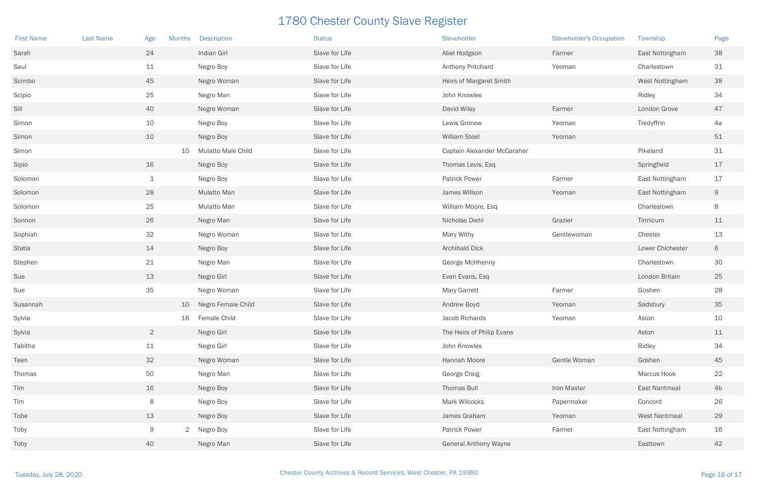| <b>First Name</b> | <b>Last Name</b> | Age            | <b>Months</b> | <b>Description</b>        | <b>Status</b>  | Slaveholder                  | <b>Slaveholder's Occupation</b> | Township             | Page           |
|-------------------|------------------|----------------|---------------|---------------------------|----------------|------------------------------|---------------------------------|----------------------|----------------|
| Sarah             |                  | 24             |               | Indian Girl               | Slave for Life | Abel Hodgson                 | Farmer                          | East Nottingham      | 38             |
| Saul              |                  | 11             |               | Negro Boy                 | Slave for Life | Anthony Pritchard            | Yeoman                          | Charlestown          | 31             |
| Scimbo            |                  | 45             |               | Negro Woman               | Slave for Life | Heirs of Margaret Smith      |                                 | West Nottingham      | 38             |
| Scipio            |                  | 25             |               | Negro Man                 | Slave for Life | John Knowles                 |                                 | Ridley               | 34             |
| Sill              |                  | 40             |               | Negro Woman               | Slave for Life | David Wiley                  | Farmer                          | London Grove         | 47             |
| Simon             |                  | 10             |               | Negro Boy                 | Slave for Life | Lewis Gronow                 | Yeoman                          | Tredyffrin           | 4a             |
| Simon             |                  | 10             |               | Negro Boy                 | Slave for Life | <b>William Steel</b>         | Yeoman                          |                      | 51             |
| Simon             |                  |                | 10            | <b>Mulatto Male Child</b> | Slave for Life | Captain Alexander McCaraher  |                                 | Pikeland             | 31             |
| Sipio             |                  | 16             |               | Negro Boy                 | Slave for Life | Thomas Levis, Esq            |                                 | Springfield          | 17             |
| Solomon           |                  | $\mathbf 1$    |               | Negro Boy                 | Slave for Life | <b>Patrick Power</b>         | Farmer                          | East Nottingham      | 17             |
| Solomon           |                  | 28             |               | Mulatto Man               | Slave for Life | James Willson                | Yeoman                          | East Nottingham      | 9              |
| Solomon           |                  | 25             |               | Mulatto Man               | Slave for Life | William Moore, Esq           |                                 | Charlestown          | 8              |
| Sonnon            |                  | 26             |               | Negro Man                 | Slave for Life | Nicholas Diehl               | Grazier                         | Tinnicum             | 11             |
| Sophiah           |                  | 32             |               | Negro Woman               | Slave for Life | Mary Withy                   | Gentlewoman                     | Chester              | 13             |
| Statia            |                  | 14             |               | Negro Boy                 | Slave for Life | <b>Archibald Dick</b>        |                                 | Lower Chichester     | 6              |
| Stephen           |                  | 21             |               | Negro Man                 | Slave for Life | George McHhenny              |                                 | Charlestown          | 30             |
| Sue               |                  | 13             |               | Negro Girl                | Slave for Life | Evan Evans, Esq              |                                 | London Britain       | 25             |
| Sue               |                  | 35             |               | Negro Woman               | Slave for Life | <b>Mary Garrett</b>          | Farmer                          | Goshen               | 28             |
| Susannah          |                  |                | 10            | Negro Female Child        | Slave for Life | Andrew Boyd                  | Yeoman                          | Sadsbury             | 35             |
| Sylvia            |                  |                | 16            | Female Child              | Slave for Life | Jacob Richards               | Yeoman                          | Aston                | 10             |
| Sylvia            |                  | $\overline{2}$ |               | Negro Girl                | Slave for Life | The Heirs of Philip Evans    |                                 | Aston                | 11             |
| Tabitha           |                  | 11             |               | Negro Girl                | Slave for Life | John Knowles                 |                                 | Ridley               | 34             |
| Teen              |                  | 32             |               | Negro Woman               | Slave for Life | Hannah Moore                 | Gentle Woman                    | Goshen               | 45             |
| Thomas            |                  | 50             |               | Negro Man                 | Slave for Life | George Craig                 |                                 | Marcus Hook          | 22             |
| Tim               |                  | 16             |               | Negro Boy                 | Slave for Life | Thomas Bull                  | Iron Master                     | <b>East Nantmeal</b> | 4 <sub>b</sub> |
| Tim               |                  | 8              |               | Negro Boy                 | Slave for Life | Mark Wilcocks                | Papermaker                      | Concord              | 26             |
| Tobe              |                  | 13             |               | Negro Boy                 | Slave for Life | James Graham                 | Yeoman                          | <b>West Nantmeal</b> | 29             |
| Toby              |                  | 9              |               | 2 Negro Boy               | Slave for Life | <b>Patrick Power</b>         | Farmer                          | East Nottingham      | 16             |
| Toby              |                  | 40             |               | Negro Man                 | Slave for Life | <b>General Anthony Wayne</b> |                                 | Easttown             | 42             |